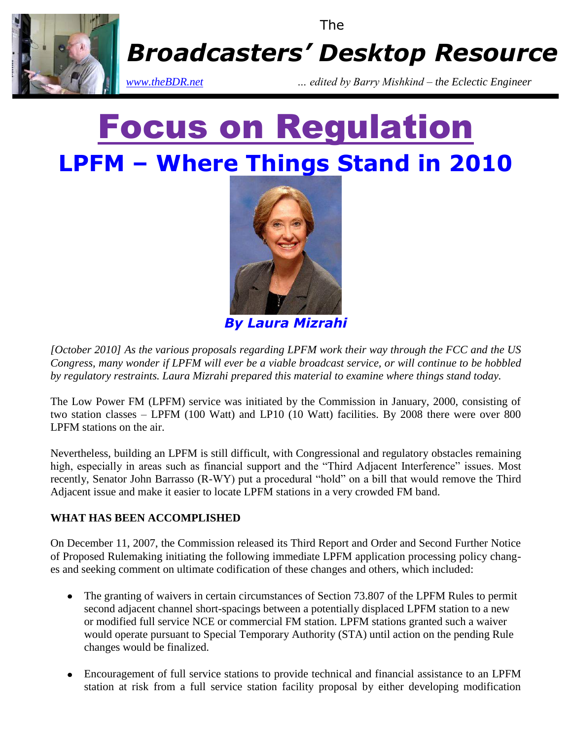

# Focus on Regulation **LPFM – Where Things Stand in 2010**



*By Laura Mizrahi*

*[October 2010] As the various proposals regarding LPFM work their way through the FCC and the US Congress, many wonder if LPFM will ever be a viable broadcast service, or will continue to be hobbled by regulatory restraints. Laura Mizrahi prepared this material to examine where things stand today.*

The Low Power FM (LPFM) service was initiated by the Commission in January, 2000, consisting of two station classes – LPFM (100 Watt) and LP10 (10 Watt) facilities. By 2008 there were over 800 LPFM stations on the air.

Nevertheless, building an LPFM is still difficult, with Congressional and regulatory obstacles remaining high, especially in areas such as financial support and the "Third Adjacent Interference" issues. Most recently, Senator John Barrasso (R-WY) put a procedural "hold" on a bill that would remove the Third Adjacent issue and make it easier to locate LPFM stations in a very crowded FM band.

### **WHAT HAS BEEN ACCOMPLISHED**

On December 11, 2007, the Commission released its Third Report and Order and Second Further Notice of Proposed Rulemaking initiating the following immediate LPFM application processing policy changes and seeking comment on ultimate codification of these changes and others, which included:

- The granting of waivers in certain circumstances of Section 73.807 of the LPFM Rules to permit second adjacent channel short-spacings between a potentially displaced LPFM station to a new or modified full service NCE or commercial FM station. LPFM stations granted such a waiver would operate pursuant to Special Temporary Authority (STA) until action on the pending Rule changes would be finalized.
- Encouragement of full service stations to provide technical and financial assistance to an LPFM station at risk from a full service station facility proposal by either developing modification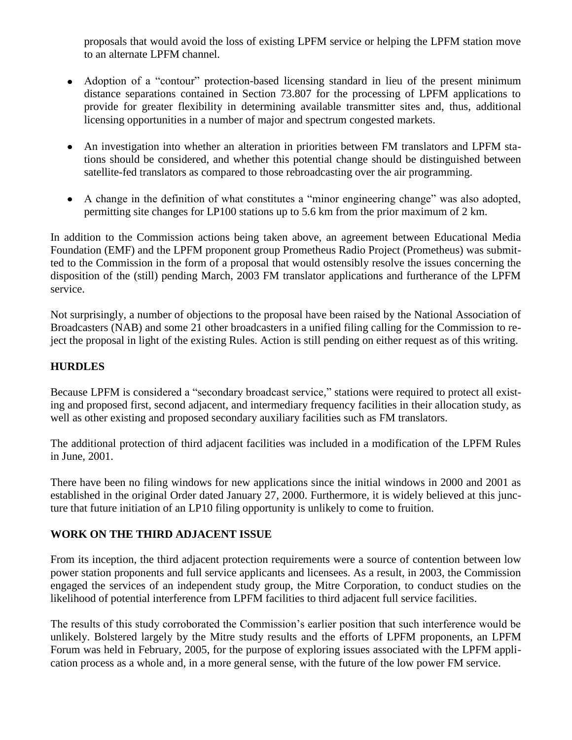proposals that would avoid the loss of existing LPFM service or helping the LPFM station move to an alternate LPFM channel.

- Adoption of a "contour" protection-based licensing standard in lieu of the present minimum distance separations contained in Section 73.807 for the processing of LPFM applications to provide for greater flexibility in determining available transmitter sites and, thus, additional licensing opportunities in a number of major and spectrum congested markets.
- An investigation into whether an alteration in priorities between FM translators and LPFM stations should be considered, and whether this potential change should be distinguished between satellite-fed translators as compared to those rebroadcasting over the air programming.
- A change in the definition of what constitutes a "minor engineering change" was also adopted, permitting site changes for LP100 stations up to 5.6 km from the prior maximum of 2 km.

In addition to the Commission actions being taken above, an agreement between Educational Media Foundation (EMF) and the LPFM proponent group Prometheus Radio Project (Prometheus) was submitted to the Commission in the form of a proposal that would ostensibly resolve the issues concerning the disposition of the (still) pending March, 2003 FM translator applications and furtherance of the LPFM service.

Not surprisingly, a number of objections to the proposal have been raised by the National Association of Broadcasters (NAB) and some 21 other broadcasters in a unified filing calling for the Commission to reject the proposal in light of the existing Rules. Action is still pending on either request as of this writing.

#### **HURDLES**

Because LPFM is considered a "secondary broadcast service," stations were required to protect all existing and proposed first, second adjacent, and intermediary frequency facilities in their allocation study, as well as other existing and proposed secondary auxiliary facilities such as FM translators.

The additional protection of third adjacent facilities was included in a modification of the LPFM Rules in June, 2001.

There have been no filing windows for new applications since the initial windows in 2000 and 2001 as established in the original Order dated January 27, 2000. Furthermore, it is widely believed at this juncture that future initiation of an LP10 filing opportunity is unlikely to come to fruition.

#### **WORK ON THE THIRD ADJACENT ISSUE**

From its inception, the third adjacent protection requirements were a source of contention between low power station proponents and full service applicants and licensees. As a result, in 2003, the Commission engaged the services of an independent study group, the Mitre Corporation, to conduct studies on the likelihood of potential interference from LPFM facilities to third adjacent full service facilities.

The results of this study corroborated the Commission's earlier position that such interference would be unlikely. Bolstered largely by the Mitre study results and the efforts of LPFM proponents, an LPFM Forum was held in February, 2005, for the purpose of exploring issues associated with the LPFM application process as a whole and, in a more general sense, with the future of the low power FM service.